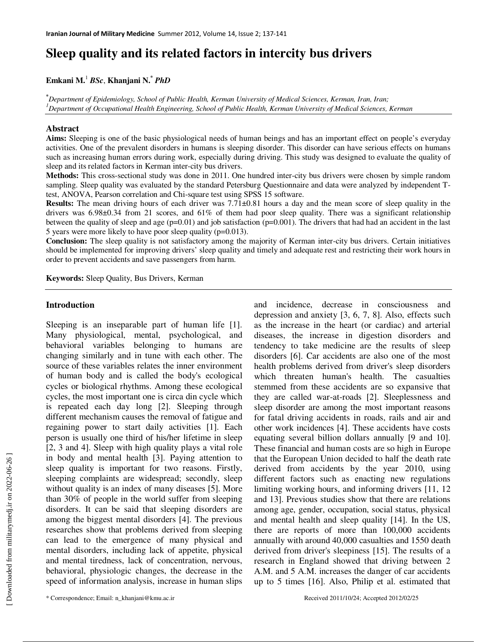# **Sleep quality and its related factors in intercity bus drivers**

## **Emkani M.**<sup>1</sup> *BSc*, **Khanjani N.\***  *PhD*

**\****Department of Epidemiology, School of Public Health, Kerman University of Medical Sciences, Kerman, Iran, Iran; <sup>1</sup>Department of Occupational Health Engineering, School of Public Health, Kerman University of Medical Sciences, Kerman*

### **Abstract**

**Aims:** Sleeping is one of the basic physiological needs of human beings and has an important effect on people's everyday activities. One of the prevalent disorders in humans is sleeping disorder. This disorder can have serious effects on humans such as increasing human errors during work, especially during driving. This study was designed to evaluate the quality of sleep and its related factors in Kerman inter-city bus drivers.

**Methods:** This cross-sectional study was done in 2011. One hundred inter-city bus drivers were chosen by simple random sampling. Sleep quality was evaluated by the standard Petersburg Questionnaire and data were analyzed by independent Ttest, ANOVA, Pearson correlation and Chi-square test using SPSS 15 software.

**Results:** The mean driving hours of each driver was 7.71±0.81 hours a day and the mean score of sleep quality in the drivers was 6.98±0.34 from 21 scores, and 61% of them had poor sleep quality. There was a significant relationship between the quality of sleep and age  $(p=0.01)$  and job satisfaction  $(p=0.001)$ . The drivers that had had an accident in the last 5 years were more likely to have poor sleep quality (p=0.013).

**Conclusion:** The sleep quality is not satisfactory among the majority of Kerman inter-city bus drivers. Certain initiatives should be implemented for improving drivers' sleep quality and timely and adequate rest and restricting their work hours in order to prevent accidents and save passengers from harm.

**Keywords:** Sleep Quality, Bus Drivers, Kerman

#### **Introduction**

Sleeping is an inseparable part of human life [1]. Many physiological, mental, psychological, and behavioral variables belonging to humans are changing similarly and in tune with each other. The source of these variables relates the inner environment of human body and is called the body's ecological cycles or biological rhythms. Among these ecological cycles, the most important one is circa din cycle which is repeated each day long [2]. Sleeping through different mechanism causes the removal of fatigue and regaining power to start daily activities [1]. Each person is usually one third of his/her lifetime in sleep [2, 3 and 4]. Sleep with high quality plays a vital role in body and mental health [3]. Paying attention to sleep quality is important for two reasons. Firstly, sleeping complaints are widespread; secondly, sleep without quality is an index of many diseases [5]. More than 30% of people in the world suffer from sleeping disorders. It can be said that sleeping disorders are among the biggest mental disorders [4]. The previous researches show that problems derived from sleeping can lead to the emergence of many physical and mental disorders, including lack of appetite, physical and mental tiredness, lack of concentration, nervous, behavioral, physiologic changes, the decrease in the speed of information analysis, increase in human slips

and incidence, decrease in consciousness and depression and anxiety [3, 6, 7, 8]. Also, effects such as the increase in the heart (or cardiac) and arterial diseases, the increase in digestion disorders and tendency to take medicine are the results of sleep disorders [6]. Car accidents are also one of the most health problems derived from driver's sleep disorders which threaten human's health. The casualties stemmed from these accidents are so expansive that they are called war-at-roads [2]. Sleeplessness and sleep disorder are among the most important reasons for fatal driving accidents in roads, rails and air and other work incidences [4]. These accidents have costs equating several billion dollars annually [9 and 10]. These financial and human costs are so high in Europe that the European Union decided to half the death rate derived from accidents by the year 2010, using different factors such as enacting new regulations limiting working hours, and informing drivers [11, 12 and 13]. Previous studies show that there are relations among age, gender, occupation, social status, physical and mental health and sleep quality [14]. In the US, there are reports of more than 100,000 accidents annually with around 40,000 casualties and 1550 death derived from driver's sleepiness [15]. The results of a research in England showed that driving between 2 A.M. and 5 A.M. increases the danger of car accidents up to 5 times [16]. Also, Philip et al. estimated that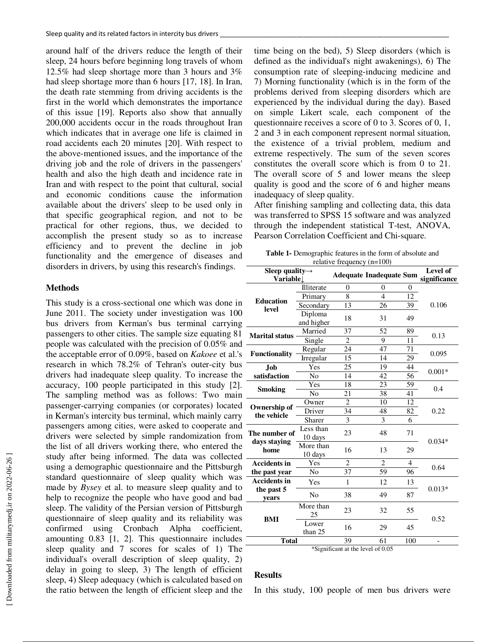around half of the drivers reduce the length of their sleep, 24 hours before beginning long travels of whom 12.5% had sleep shortage more than 3 hours and 3% had sleep shortage more than 6 hours [17, 18]. In Iran, the death rate stemming from driving accidents is the first in the world which demonstrates the importance of this issue [19]. Reports also show that annually 200,000 accidents occur in the roads throughout Iran which indicates that in average one life is claimed in road accidents each 20 minutes [20]. With respect to the above-mentioned issues, and the importance of the driving job and the role of drivers in the passengers' health and also the high death and incidence rate in Iran and with respect to the point that cultural, social and economic conditions cause the information available about the drivers' sleep to be used only in that specific geographical region, and not to be practical for other regions, thus, we decided to accomplish the present study so as to increase efficiency and to prevent the decline in job functionality and the emergence of diseases and disorders in drivers, by using this research's findings.

## **Methods**

This study is a cross-sectional one which was done in June 2011. The society under investigation was 100 bus drivers from Kerman's bus terminal carrying passengers to other cities. The sample size equating 81 people was calculated with the precision of 0.05% and the acceptable error of 0.09%, based on *Kakoee* et al.'s research in which 78.2% of Tehran's outer-city bus drivers had inadequate sleep quality. To increase the accuracy, 100 people participated in this study [2]. The sampling method was as follows: Two main passenger-carrying companies (or corporates) located in Kerman's intercity bus terminal, which mainly carry passengers among cities, were asked to cooperate and drivers were selected by simple randomization from the list of all drivers working there, who entered the study after being informed. The data was collected using a demographic questionnaire and the Pittsburgh standard questionnaire of sleep quality which was made by *Bysey* et al. to measure sleep quality and to help to recognize the people who have good and bad sleep. The validity of the Persian version of Pittsburgh questionnaire of sleep quality and its reliability was confirmed using Cronbach Alpha coefficient, amounting 0.83 [1, 2]. This questionnaire includes sleep quality and 7 scores for scales of 1) The individual's overall description of sleep quality, 2) delay in going to sleep, 3) The length of efficient sleep, 4) Sleep adequacy (which is calculated based on the ratio between the length of efficient sleep and the

time being on the bed), 5) Sleep disorders (which is defined as the individual's night awakenings), 6) The consumption rate of sleeping-inducing medicine and 7) Morning functionality (which is in the form of the problems derived from sleeping disorders which are experienced by the individual during the day). Based on simple Likert scale, each component of the questionnaire receives a score of 0 to 3. Scores of 0, 1, 2 and 3 in each component represent normal situation, the existence of a trivial problem, medium and extreme respectively. The sum of the seven scores constitutes the overall score which is from 0 to 21. The overall score of 5 and lower means the sleep quality is good and the score of 6 and higher means inadequacy of sleep quality.

After finishing sampling and collecting data, this data was transferred to SPSS 15 software and was analyzed through the independent statistical T-test, ANOVA, Pearson Correlation Coefficient and Chi-square.

| <b>Table 1-</b> Demographic features in the form of absolute and |
|------------------------------------------------------------------|
| relative frequency $(n=100)$                                     |

| $i$ clative inequency $(i = 100)$        |                   |                                       |                                |     |                          |  |  |  |
|------------------------------------------|-------------------|---------------------------------------|--------------------------------|-----|--------------------------|--|--|--|
| Sleep quality $\rightarrow$<br>Variablel |                   |                                       | <b>Adequate Inadequate Sum</b> |     | Level of<br>significance |  |  |  |
| <b>Education</b><br>level                | <b>Illiterate</b> | $\overline{0}$                        | $\overline{0}$                 | 0   |                          |  |  |  |
|                                          | Primary           | 8                                     | $\overline{4}$                 | 12  |                          |  |  |  |
|                                          | Secondary         | 13                                    | 26                             | 39  | 0.106                    |  |  |  |
|                                          | Diploma           | 18                                    | 31                             | 49  |                          |  |  |  |
|                                          | and higher        |                                       |                                |     |                          |  |  |  |
| <b>Marital status</b>                    | Married           | 37                                    | 52                             | 89  | 0.13                     |  |  |  |
|                                          | Single            | $\mathfrak{2}$                        | 9                              | 11  |                          |  |  |  |
|                                          | Regular           | 24                                    | 47                             | 71  | 0.095                    |  |  |  |
| Functionality                            | Irregular         | 15                                    | 14                             | 29  |                          |  |  |  |
| <b>Job</b>                               | Yes               | 25                                    | 19                             | 44  | $0.001*$                 |  |  |  |
| satisfaction                             | N <sub>o</sub>    | 14                                    | 42                             | 56  |                          |  |  |  |
| <b>Smoking</b>                           | Yes               | 18                                    | 23                             | 59  | 0.4                      |  |  |  |
|                                          | No                | 21                                    | 38                             | 41  |                          |  |  |  |
| Ownership of<br>the vehicle              | Owner             | $\overline{2}$                        | 10                             | 12  |                          |  |  |  |
|                                          | Driver            | 34                                    | 48                             | 82  | 0.22                     |  |  |  |
|                                          | Sharer            | 3                                     | 3                              | 6   |                          |  |  |  |
| The number of<br>days staying<br>home    | Less than         | 23                                    | 48                             | 71  | $0.034*$                 |  |  |  |
|                                          | 10 days           |                                       |                                |     |                          |  |  |  |
|                                          | More than         | 16                                    | 13                             | 29  |                          |  |  |  |
|                                          | 10 days           |                                       |                                |     |                          |  |  |  |
| <b>Accidents in</b>                      | Yes               | $\overline{c}$                        | $\overline{c}$                 | 4   | 0.64                     |  |  |  |
| the past year                            | N <sub>0</sub>    | 37                                    | 59                             | 96  |                          |  |  |  |
| <b>Accidents in</b>                      | Yes               | $\mathbf{1}$                          | 12                             | 13  | $0.013*$                 |  |  |  |
| the past 5                               | No                | 38                                    | 49                             | 87  |                          |  |  |  |
| years                                    |                   |                                       |                                |     |                          |  |  |  |
| <b>BMI</b>                               | More than         | 23                                    | 32                             | 55  |                          |  |  |  |
|                                          | 25                |                                       | 29                             | 45  | 0.52                     |  |  |  |
|                                          | Lower<br>than 25  | 16                                    |                                |     |                          |  |  |  |
| <b>Total</b>                             |                   | 39                                    | 61                             | 100 | -                        |  |  |  |
|                                          |                   | $\&$ Cionificant at the level of 0.05 |                                |     |                          |  |  |  |

<sup>\*</sup>Significant at the level of 0.05

#### **Results**

In this study, 100 people of men bus drivers were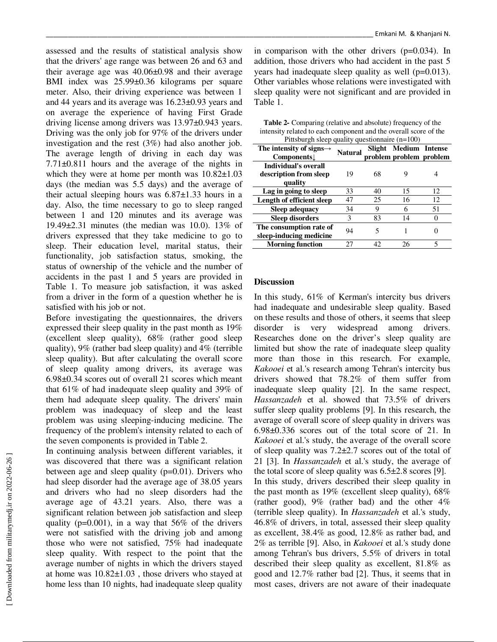assessed and the results of statistical analysis show that the drivers' age range was between 26 and 63 and their average age was 40.06±0.98 and their average BMI index was 25.99±0.36 kilograms per square meter. Also, their driving experience was between 1 and 44 years and its average was 16.23±0.93 years and on average the experience of having First Grade driving license among drivers was 13.97±0.943 years. Driving was the only job for 97% of the drivers under investigation and the rest (3%) had also another job. The average length of driving in each day was 7.71±0.811 hours and the average of the nights in which they were at home per month was  $10.82 \pm 1.03$ days (the median was 5.5 days) and the average of their actual sleeping hours was  $6.87\pm1.33$  hours in a day. Also, the time necessary to go to sleep ranged between 1 and 120 minutes and its average was 19.49±2.31 minutes (the median was 10.0). 13% of drivers expressed that they take medicine to go to sleep. Their education level, marital status, their functionality, job satisfaction status, smoking, the status of ownership of the vehicle and the number of accidents in the past 1 and 5 years are provided in Table 1. To measure job satisfaction, it was asked from a driver in the form of a question whether he is satisfied with his job or not.

Before investigating the questionnaires, the drivers expressed their sleep quality in the past month as 19% (excellent sleep quality), 68% (rather good sleep quality), 9% (rather bad sleep quality) and 4% (terrible sleep quality). But after calculating the overall score of sleep quality among drivers, its average was 6.98±0.34 scores out of overall 21 scores which meant that 61% of had inadequate sleep quality and 39% of them had adequate sleep quality. The drivers' main problem was inadequacy of sleep and the least problem was using sleeping-inducing medicine. The frequency of the problem's intensity related to each of the seven components is provided in Table 2.

In continuing analysis between different variables, it was discovered that there was a significant relation between age and sleep quality (p=0.01). Drivers who had sleep disorder had the average age of 38.05 years and drivers who had no sleep disorders had the average age of 43.21 years. Also, there was a significant relation between job satisfaction and sleep quality ( $p=0.001$ ), in a way that 56% of the drivers were not satisfied with the driving job and among those who were not satisfied, 75% had inadequate sleep quality. With respect to the point that the average number of nights in which the drivers stayed at home was 10.82±1.03 , those drivers who stayed at home less than 10 nights, had inadequate sleep quality

in comparison with the other drivers (p=0.034). In addition, those drivers who had accident in the past 5 years had inadequate sleep quality as well (p=0.013). Other variables whose relations were investigated with sleep quality were not significant and are provided in Table 1.

**Table 2-** Comparing (relative and absolute) frequency of the intensity related to each component and the overall score of the  $P_{\text{it}}$ 

| $r_{\text{H}}$ riusburgin sieep quality questioninarie ( $r_{\text{H}} = r_{\text{H}}$ |         |        |                         |    |  |  |  |
|----------------------------------------------------------------------------------------|---------|--------|-------------------------|----|--|--|--|
| The intensity of signs $\rightarrow$                                                   | Natural | Slight | <b>Medium</b> Intense   |    |  |  |  |
| <b>Components</b>                                                                      |         |        | problem problem problem |    |  |  |  |
| <b>Individual's overall</b>                                                            |         |        |                         |    |  |  |  |
| description from sleep                                                                 | 19      | 68     |                         |    |  |  |  |
| quality                                                                                |         |        |                         |    |  |  |  |
| Lag in going to sleep                                                                  | 33      | 40     | 15                      | 12 |  |  |  |
| Length of efficient sleep                                                              | 47      | 25     | 16                      | 12 |  |  |  |
| Sleep adequacy                                                                         | 34      | 9      | 6                       | 51 |  |  |  |
| <b>Sleep disorders</b>                                                                 | 3       | 83     | 14                      | 0  |  |  |  |
| The consumption rate of                                                                | 94      | 5      |                         |    |  |  |  |
| sleep-inducing medicine                                                                |         |        |                         |    |  |  |  |
| <b>Morning function</b>                                                                | 27      | 42     | 26                      |    |  |  |  |

#### **Discussion**

In this study, 61% of Kerman's intercity bus drivers had inadequate and undesirable sleep quality. Based on these results and those of others, it seems that sleep disorder is very widespread among drivers. Researches done on the driver's sleep quality are limited but show the rate of inadequate sleep quality more than those in this research. For example, *Kakooei* et al.'s research among Tehran's intercity bus drivers showed that 78.2% of them suffer from inadequate sleep quality [2]. In the same respect, *Hassanzadeh* et al. showed that 73.5% of drivers suffer sleep quality problems [9]. In this research, the average of overall score of sleep quality in drivers was 6.98±0.336 scores out of the total score of 21. In *Kakooei* et al.'s study, the average of the overall score of sleep quality was 7.2±2.7 scores out of the total of 21 [3]. In *Hassanzadeh* et al.'s study, the average of the total score of sleep quality was 6.5±2.8 scores [9]. In this study, drivers described their sleep quality in the past month as 19% (excellent sleep quality), 68% (rather good),  $9\%$  (rather bad) and the other  $4\%$ (terrible sleep quality). In *Hassanzadeh* et al.'s study, 46.8% of drivers, in total, assessed their sleep quality as excellent, 38.4% as good, 12.8% as rather bad, and 2% as terrible [9]. Also, in *Kakooei* et al.'s study done among Tehran's bus drivers, 5.5% of drivers in total described their sleep quality as excellent, 81.8% as good and 12.7% rather bad [2]. Thus, it seems that in most cases, drivers are not aware of their inadequate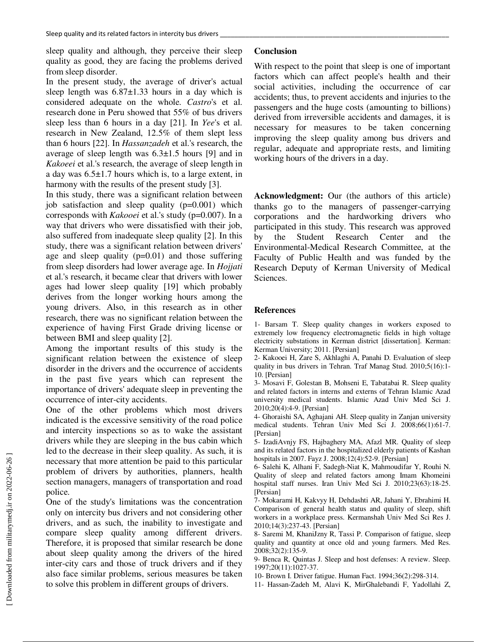sleep quality and although, they perceive their sleep quality as good, they are facing the problems derived from sleep disorder.

In the present study, the average of driver's actual sleep length was  $6.87\pm1.33$  hours in a day which is considered adequate on the whole. *Castro*'s et al. research done in Peru showed that 55% of bus drivers sleep less than 6 hours in a day [21]. In *Yee*'s et al. research in New Zealand, 12.5% of them slept less than 6 hours [22]. In *Hassanzadeh* et al.'s research, the average of sleep length was  $6.3\pm1.5$  hours [9] and in *Kakoeei* et al.'s research, the average of sleep length in a day was 6.5±1.7 hours which is, to a large extent, in harmony with the results of the present study [3].

In this study, there was a significant relation between job satisfaction and sleep quality (p=0.001) which corresponds with *Kakooei* et al.'s study (p=0.007). In a way that drivers who were dissatisfied with their job, also suffered from inadequate sleep quality [2]. In this study, there was a significant relation between drivers' age and sleep quality  $(p=0.01)$  and those suffering from sleep disorders had lower average age. In *Hojjati*  et al.'s research, it became clear that drivers with lower ages had lower sleep quality [19] which probably derives from the longer working hours among the young drivers. Also, in this research as in other research, there was no significant relation between the experience of having First Grade driving license or between BMI and sleep quality [2].

Among the important results of this study is the significant relation between the existence of sleep disorder in the drivers and the occurrence of accidents in the past five years which can represent the importance of drivers' adequate sleep in preventing the occurrence of inter-city accidents.

One of the other problems which most drivers indicated is the excessive sensitivity of the road police and intercity inspections so as to wake the assistant drivers while they are sleeping in the bus cabin which led to the decrease in their sleep quality. As such, it is necessary that more attention be paid to this particular problem of drivers by authorities, planners, health section managers, managers of transportation and road police.

One of the study's limitations was the concentration only on intercity bus drivers and not considering other drivers, and as such, the inability to investigate and compare sleep quality among different drivers. Therefore, it is proposed that similar research be done about sleep quality among the drivers of the hired inter-city cars and those of truck drivers and if they also face similar problems, serious measures be taken to solve this problem in different groups of drivers.

# **Conclusion**

With respect to the point that sleep is one of important factors which can affect people's health and their social activities, including the occurrence of car accidents; thus, to prevent accidents and injuries to the passengers and the huge costs (amounting to billions) derived from irreversible accidents and damages, it is necessary for measures to be taken concerning improving the sleep quality among bus drivers and regular, adequate and appropriate rests, and limiting working hours of the drivers in a day.

**Acknowledgment:** Our (the authors of this article) thanks go to the managers of passenger-carrying corporations and the hardworking drivers who participated in this study. This research was approved by the Student Research Center and the Environmental-Medical Research Committee, at the Faculty of Public Health and was funded by the Research Deputy of Kerman University of Medical Sciences.

## **References**

1- Barsam T. Sleep quality changes in workers exposed to extremely low frequency electromagnetic fields in high voltage electricity substations in Kerman district [dissertation]. Kerman: Kerman University; 2011. [Persian]

2- Kakooei H, Zare S, Akhlaghi A, Panahi D. Evaluation of sleep quality in bus drivers in Tehran. Traf Manag Stud. 2010;5(16):1- 10. [Persian]

3- Mosavi F, Golestan B, Mohseni E, Tabatabai R. Sleep quality and related factors in interns and externs of Tehran Islamic Azad university medical students. Islamic Azad Univ Med Sci J. 2010;20(4):4-9. [Persian]

4- Ghoraishi SA, Aghajani AH. Sleep quality in Zanjan university medical students. Tehran Univ Med Sci J. 2008;66(1):61-7. [Persian]

5- IzadiAvnjy FS, Hajbaghery MA, Afazl MR. Quality of sleep and its related factors in the hospitalized elderly patients of Kashan hospitals in 2007. Fayz J. 2008;12(4):52-9. [Persian]

6- Salehi K, Alhani F, Sadegh-Niat K, Mahmoudifar Y, Rouhi N. Quality of sleep and related factors among Imam Khomeini hospital staff nurses. Iran Univ Med Sci J. 2010;23(63):18-25. [Persian]

7- Mokarami H, Kakvyy H, Dehdashti AR, Jahani Y, Ebrahimi H. Comparison of general health status and quality of sleep, shift workers in a workplace press. Kermanshah Univ Med Sci Res J. 2010;14(3):237-43. [Persian]

8- Saremi M, KhaniJzny R, Tassi P. Comparison of fatigue, sleep quality and quantity at once old and young farmers. Med Res. 2008;32(2):135-9.

9- Benca R, Quintas J. Sleep and host defenses: A review. Sleep. 1997;20(11):1027-37.

10- Brown I. Driver fatigue. Human Fact. 1994;36(2):298-314.

11- Hassan-Zadeh M, Alavi K, MirGhalebandi F, Yadollahi Z,